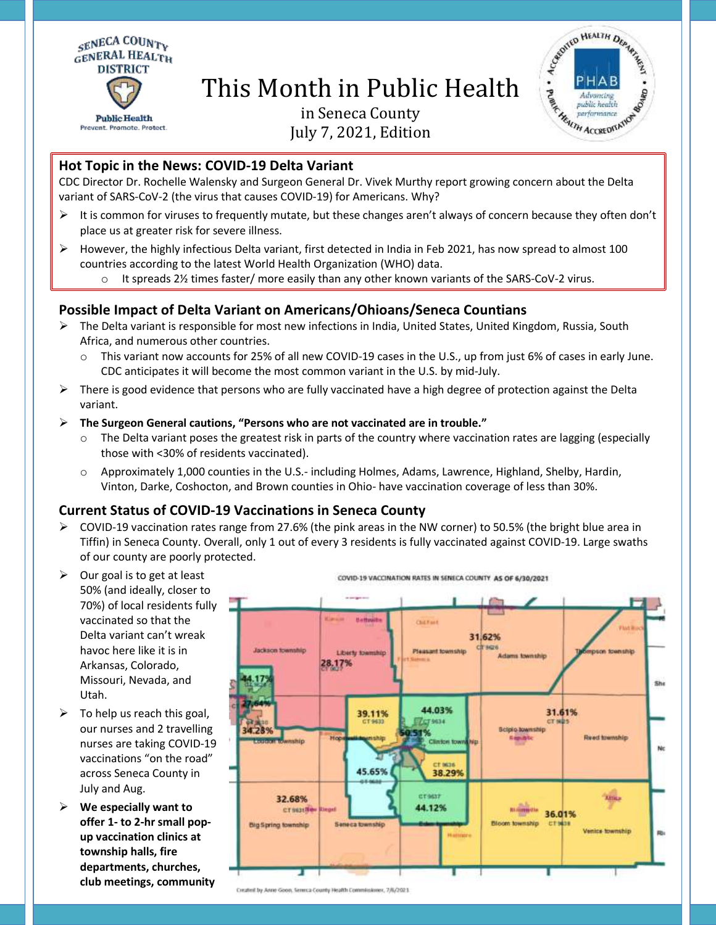

# This Month in Public Health



# in Seneca County July 7, 2021, Edition

### **Hot Topic in the News: COVID-19 Delta Variant**

CDC Director Dr. Rochelle Walensky and Surgeon General Dr. Vivek Murthy report growing concern about the Delta variant of SARS-CoV-2 (the virus that causes COVID-19) for Americans. Why?

- $\triangleright$  It is common for viruses to frequently mutate, but these changes aren't always of concern because they often don't place us at greater risk for severe illness.
- $\triangleright$  However, the highly infectious Delta variant, first detected in India in Feb 2021, has now spread to almost 100 countries according to the latest World Health Organization (WHO) data.
	- $\circ$  It spreads 2½ times faster/ more easily than any other known variants of the SARS-CoV-2 virus.

# **Possible Impact of Delta Variant on Americans/Ohioans/Seneca Countians**

- $\triangleright$  The Delta variant is responsible for most new infections in India, United States, United Kingdom, Russia, South Africa, and numerous other countries.
	- $\circ$  This variant now accounts for 25% of all new COVID-19 cases in the U.S., up from just 6% of cases in early June. CDC anticipates it will become the most common variant in the U.S. by mid-July.
- $\triangleright$  There is good evidence that persons who are fully vaccinated have a high degree of protection against the Delta variant.

#### **The Surgeon General cautions, "Persons who are not vaccinated are in trouble."**

- $\circ$  The Delta variant poses the greatest risk in parts of the country where vaccination rates are lagging (especially those with <30% of residents vaccinated).
- o Approximately 1,000 counties in the U.S.- including Holmes, Adams, Lawrence, Highland, Shelby, Hardin, Vinton, Darke, Coshocton, and Brown counties in Ohio- have vaccination coverage of less than 30%.

# **Current Status of COVID-19 Vaccinations in Seneca County**

- $\triangleright$  COVID-19 vaccination rates range from 27.6% (the pink areas in the NW corner) to 50.5% (the bright blue area in Tiffin) in Seneca County. Overall, only 1 out of every 3 residents is fully vaccinated against COVID-19. Large swaths of our county are poorly protected.
- $\triangleright$  Our goal is to get at least 50% (and ideally, closer to 70%) of local residents fully vaccinated so that the Delta variant can't wreak havoc here like it is in Arkansas, Colorado, Missouri, Nevada, and Utah.
- $\triangleright$  To help us reach this goal, our nurses and 2 travelling nurses are taking COVID-19 vaccinations "on the road" across Seneca County in July and Aug.
- **We especially want to offer 1- to 2-hr small popup vaccination clinics at township halls, fire departments, churches, club meetings, community**



COVID-19 VACCINATION RATES IN SENECA COUNTY AS OF 6/30/2021